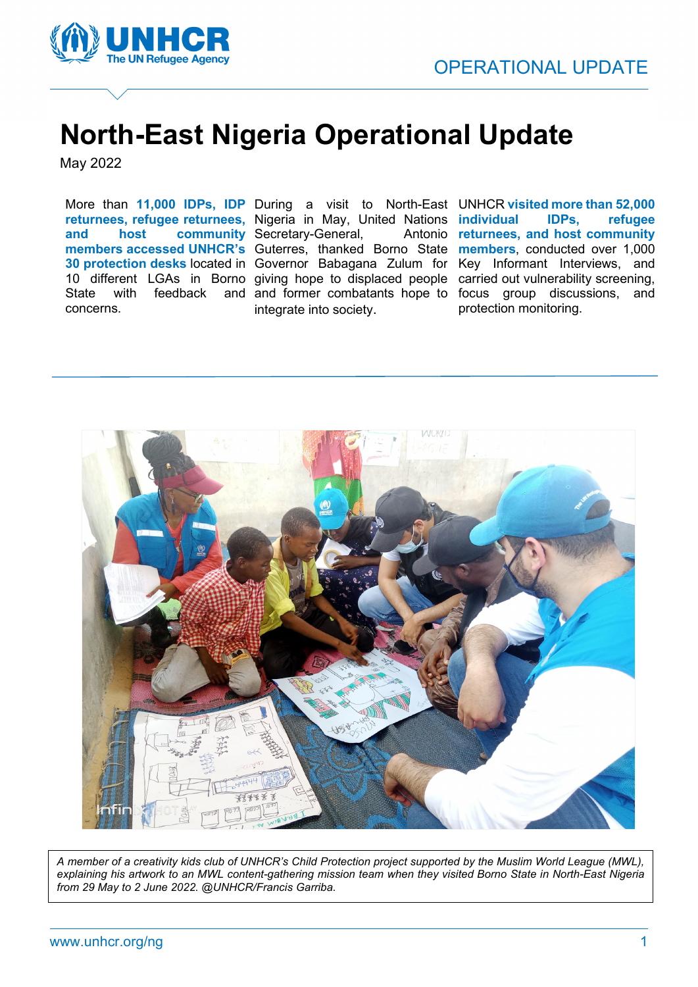

## **North-East Nigeria Operational Update**

May 2022

State with feedback concerns.

**and host community**  Secretary-General, Antonio integrate into society.

More than **11,000 IDPs, IDP**  During a visit to North-East UNHCR **visited more than 52,000 returnees, refugee returnees,**  Nigeria in May, United Nations **individual IDPs, refugee**  members accessed UNHCR's Guterres, thanked Borno State members, conducted over 1,000 **30 protection desks** located in Governor Babagana Zulum for Key Informant Interviews, and 10 different LGAs in Borno giving hope to displaced people carried out vulnerability screening, and former combatants hope to focus group discussions, and Antonio **returnees**, and host community protection monitoring.



*A member of a creativity kids club of UNHCR's Child Protection project supported by the Muslim World League (MWL), explaining his artwork to an MWL content-gathering mission team when they visited Borno State in North-East Nigeria from 29 May to 2 June 2022. @UNHCR/Francis Garriba.*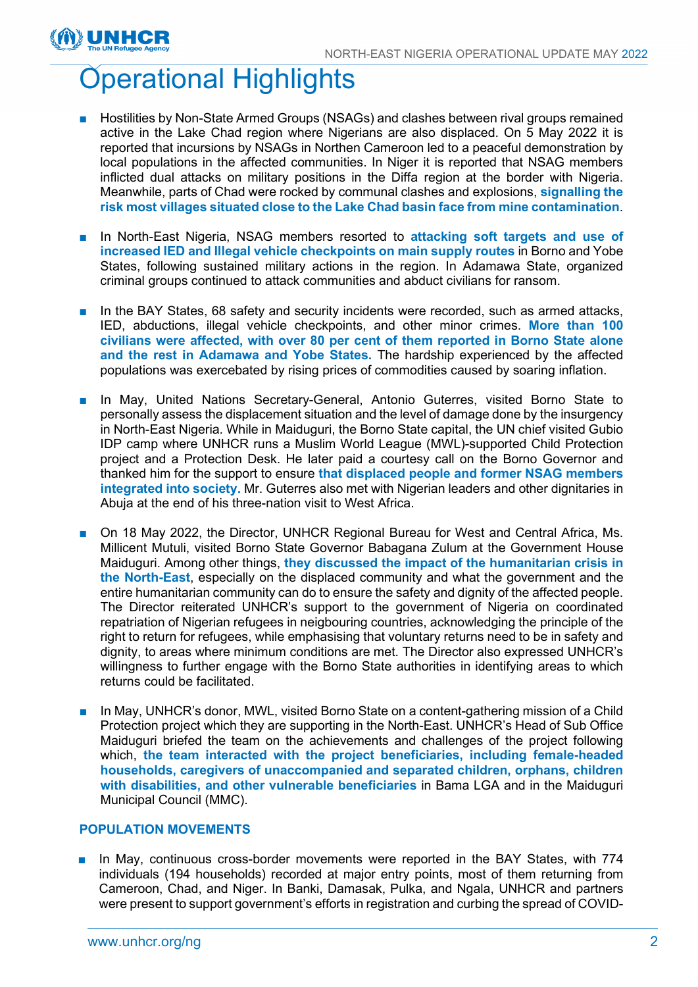# Operational Highlights

INHCF

- Hostilities by Non-State Armed Groups (NSAGs) and clashes between rival groups remained active in the Lake Chad region where Nigerians are also displaced. On 5 May 2022 it is reported that incursions by NSAGs in Northen Cameroon led to a peaceful demonstration by local populations in the affected communities. In Niger it is reported that NSAG members inflicted dual attacks on military positions in the Diffa region at the border with Nigeria. Meanwhile, parts of Chad were rocked by communal clashes and explosions, **signalling the risk most villages situated close to the Lake Chad basin face from mine contamination**.
- In North-East Nigeria, NSAG members resorted to **attacking soft targets and use of increased IED and Illegal vehicle checkpoints on main supply routes** in Borno and Yobe States, following sustained military actions in the region. In Adamawa State, organized criminal groups continued to attack communities and abduct civilians for ransom.
- In the BAY States, 68 safety and security incidents were recorded, such as armed attacks, IED, abductions, illegal vehicle checkpoints, and other minor crimes. **More than 100 civilians were affected, with over 80 per cent of them reported in Borno State alone and the rest in Adamawa and Yobe States.** The hardship experienced by the affected populations was exercebated by rising prices of commodities caused by soaring inflation.
- In May, United Nations Secretary-General, Antonio Guterres, visited Borno State to personally assess the displacement situation and the level of damage done by the insurgency in North-East Nigeria. While in Maiduguri, the Borno State capital, the UN chief visited Gubio IDP camp where UNHCR runs a Muslim World League (MWL)-supported Child Protection project and a Protection Desk. He later paid a courtesy call on the Borno Governor and thanked him for the support to ensure **that displaced people and former NSAG members integrated into society.** Mr. Guterres also met with Nigerian leaders and other dignitaries in Abuja at the end of his three-nation visit to West Africa.
- On 18 May 2022, the Director, UNHCR Regional Bureau for West and Central Africa, Ms. Millicent Mutuli, visited Borno State Governor Babagana Zulum at the Government House Maiduguri. Among other things, **they discussed the impact of the humanitarian crisis in the North-East**, especially on the displaced community and what the government and the entire humanitarian community can do to ensure the safety and dignity of the affected people. The Director reiterated UNHCR's support to the government of Nigeria on coordinated repatriation of Nigerian refugees in neigbouring countries, acknowledging the principle of the right to return for refugees, while emphasising that voluntary returns need to be in safety and dignity, to areas where minimum conditions are met. The Director also expressed UNHCR's willingness to further engage with the Borno State authorities in identifying areas to which returns could be facilitated.
- In May, UNHCR's donor, MWL, visited Borno State on a content-gathering mission of a Child Protection project which they are supporting in the North-East. UNHCR's Head of Sub Office Maiduguri briefed the team on the achievements and challenges of the project following which, **the team interacted with the project beneficiaries, including female-headed households, caregivers of unaccompanied and separated children, orphans, children with disabilities, and other vulnerable beneficiaries** in Bama LGA and in the Maiduguri Municipal Council (MMC).

#### **POPULATION MOVEMENTS**

■ In May, continuous cross-border movements were reported in the BAY States, with 774 individuals (194 households) recorded at major entry points, most of them returning from Cameroon, Chad, and Niger. In Banki, Damasak, Pulka, and Ngala, UNHCR and partners were present to support government's efforts in registration and curbing the spread of COVID-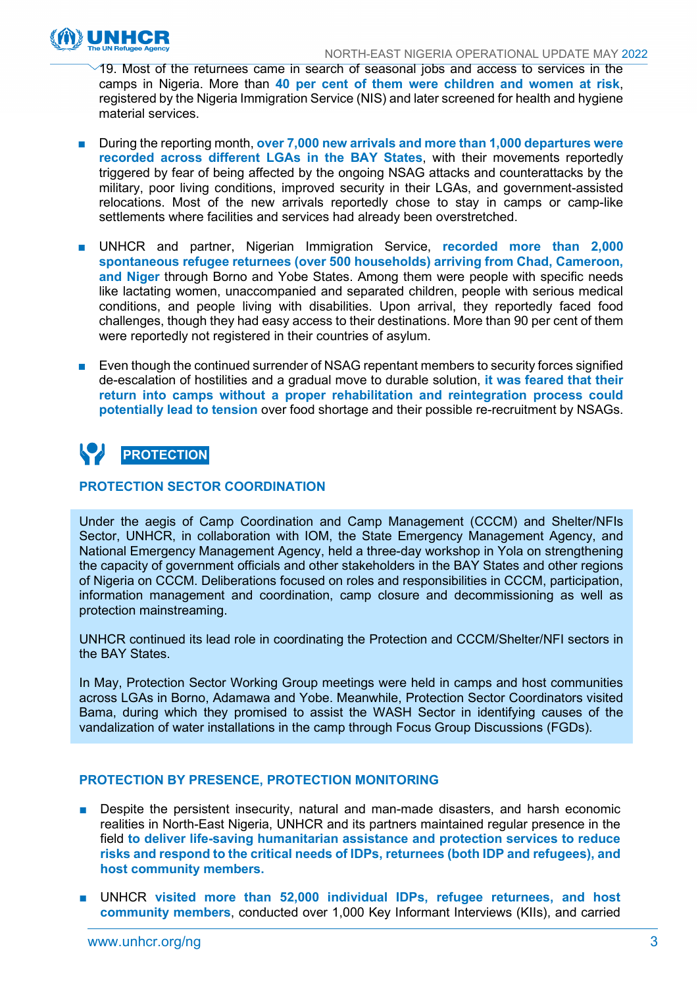

19. Most of the returnees came in search of seasonal jobs and access to services in the camps in Nigeria. More than **40 per cent of them were children and women at risk**, registered by the Nigeria Immigration Service (NIS) and later screened for health and hygiene material services.

- During the reporting month, **over 7,000 new arrivals and more than 1,000 departures were recorded across different LGAs in the BAY States**, with their movements reportedly triggered by fear of being affected by the ongoing NSAG attacks and counterattacks by the military, poor living conditions, improved security in their LGAs, and government-assisted relocations. Most of the new arrivals reportedly chose to stay in camps or camp-like settlements where facilities and services had already been overstretched.
- UNHCR and partner, Nigerian Immigration Service, **recorded more than 2,000 spontaneous refugee returnees (over 500 households) arriving from Chad, Cameroon, and Niger** through Borno and Yobe States. Among them were people with specific needs like lactating women, unaccompanied and separated children, people with serious medical conditions, and people living with disabilities. Upon arrival, they reportedly faced food challenges, though they had easy access to their destinations. More than 90 per cent of them were reportedly not registered in their countries of asylum.
- Even though the continued surrender of NSAG repentant members to security forces signified de-escalation of hostilities and a gradual move to durable solution, **it was feared that their return into camps without a proper rehabilitation and reintegration process could potentially lead to tension** over food shortage and their possible re-recruitment by NSAGs.

### **PROTECTION**

#### **PROTECTION SECTOR COORDINATION**

Under the aegis of Camp Coordination and Camp Management (CCCM) and Shelter/NFIs Sector, UNHCR, in collaboration with IOM, the State Emergency Management Agency, and National Emergency Management Agency, held a three-day workshop in Yola on strengthening the capacity of government officials and other stakeholders in the BAY States and other regions of Nigeria on CCCM. Deliberations focused on roles and responsibilities in CCCM, participation, information management and coordination, camp closure and decommissioning as well as protection mainstreaming.

UNHCR continued its lead role in coordinating the Protection and CCCM/Shelter/NFI sectors in the BAY States.

In May, Protection Sector Working Group meetings were held in camps and host communities across LGAs in Borno, Adamawa and Yobe. Meanwhile, Protection Sector Coordinators visited Bama, during which they promised to assist the WASH Sector in identifying causes of the vandalization of water installations in the camp through Focus Group Discussions (FGDs).

#### **PROTECTION BY PRESENCE, PROTECTION MONITORING**

- Despite the persistent insecurity, natural and man-made disasters, and harsh economic realities in North-East Nigeria, UNHCR and its partners maintained regular presence in the field **to deliver life-saving humanitarian assistance and protection services to reduce risks and respond to the critical needs of IDPs, returnees (both IDP and refugees), and host community members.**
- UNHCR **visited more than 52,000 individual IDPs, refugee returnees, and host community members**, conducted over 1,000 Key Informant Interviews (KIIs), and carried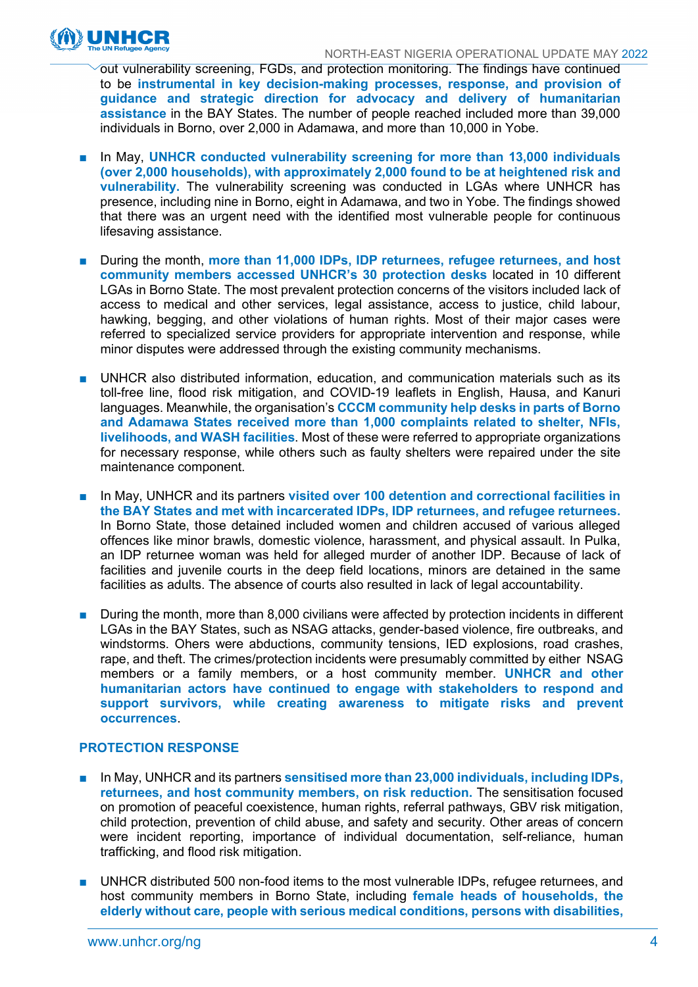

out vulnerability screening, FGDs, and protection monitoring. The findings have continued to be **instrumental in key decision-making processes, response, and provision of guidance and strategic direction for advocacy and delivery of humanitarian assistance** in the BAY States. The number of people reached included more than 39,000 individuals in Borno, over 2,000 in Adamawa, and more than 10,000 in Yobe.

- In May, UNHCR conducted vulnerability screening for more than 13,000 individuals **(over 2,000 households), with approximately 2,000 found to be at heightened risk and vulnerability.** The vulnerability screening was conducted in LGAs where UNHCR has presence, including nine in Borno, eight in Adamawa, and two in Yobe. The findings showed that there was an urgent need with the identified most vulnerable people for continuous lifesaving assistance.
- During the month, more than 11,000 IDPs, IDP returnees, refugee returnees, and host **community members accessed UNHCR's 30 protection desks** located in 10 different LGAs in Borno State. The most prevalent protection concerns of the visitors included lack of access to medical and other services, legal assistance, access to justice, child labour, hawking, begging, and other violations of human rights. Most of their major cases were referred to specialized service providers for appropriate intervention and response, while minor disputes were addressed through the existing community mechanisms.
- UNHCR also distributed information, education, and communication materials such as its toll-free line, flood risk mitigation, and COVID-19 leaflets in English, Hausa, and Kanuri languages. Meanwhile, the organisation's **CCCM community help desks in parts of Borno and Adamawa States received more than 1,000 complaints related to shelter, NFIs, livelihoods, and WASH facilities**. Most of these were referred to appropriate organizations for necessary response, while others such as faulty shelters were repaired under the site maintenance component.
- In May, UNHCR and its partners visited over 100 detention and correctional facilities in **the BAY States and met with incarcerated IDPs, IDP returnees, and refugee returnees.** In Borno State, those detained included women and children accused of various alleged offences like minor brawls, domestic violence, harassment, and physical assault. In Pulka, an IDP returnee woman was held for alleged murder of another IDP. Because of lack of facilities and juvenile courts in the deep field locations, minors are detained in the same facilities as adults. The absence of courts also resulted in lack of legal accountability.
- During the month, more than 8,000 civilians were affected by protection incidents in different LGAs in the BAY States, such as NSAG attacks, gender-based violence, fire outbreaks, and windstorms. Ohers were abductions, community tensions, IED explosions, road crashes, rape, and theft. The crimes/protection incidents were presumably committed by either NSAG members or a family members, or a host community member. **UNHCR and other humanitarian actors have continued to engage with stakeholders to respond and support survivors, while creating awareness to mitigate risks and prevent occurrences**.

#### **PROTECTION RESPONSE**

- In May, UNHCR and its partners **sensitised more than 23,000 individuals, including IDPs, returnees, and host community members, on risk reduction.** The sensitisation focused on promotion of peaceful coexistence, human rights, referral pathways, GBV risk mitigation, child protection, prevention of child abuse, and safety and security. Other areas of concern were incident reporting, importance of individual documentation, self-reliance, human trafficking, and flood risk mitigation.
- UNHCR distributed 500 non-food items to the most vulnerable IDPs, refugee returnees, and host community members in Borno State, including **female heads of households, the elderly without care, people with serious medical conditions, persons with disabilities,**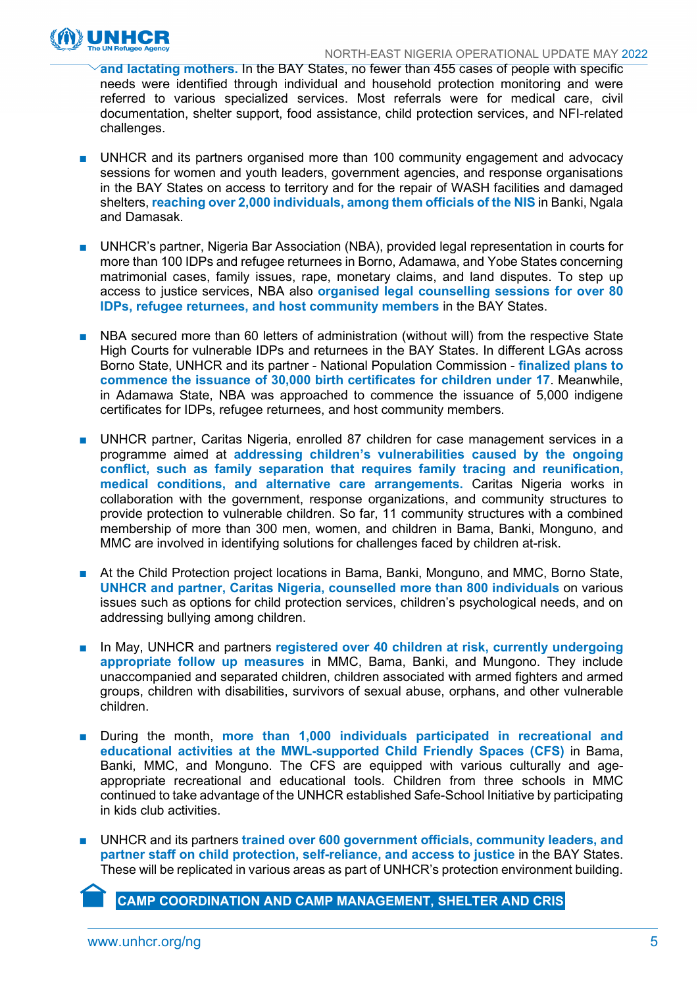

**and lactating mothers.** In the BAY States, no fewer than 455 cases of people with specific needs were identified through individual and household protection monitoring and were referred to various specialized services. Most referrals were for medical care, civil documentation, shelter support, food assistance, child protection services, and NFI-related challenges.

- UNHCR and its partners organised more than 100 community engagement and advocacy sessions for women and youth leaders, government agencies, and response organisations in the BAY States on access to territory and for the repair of WASH facilities and damaged shelters, **reaching over 2,000 individuals, among them officials of the NIS** in Banki, Ngala and Damasak.
- UNHCR's partner, Nigeria Bar Association (NBA), provided legal representation in courts for more than 100 IDPs and refugee returnees in Borno, Adamawa, and Yobe States concerning matrimonial cases, family issues, rape, monetary claims, and land disputes. To step up access to justice services, NBA also **organised legal counselling sessions for over 80 IDPs, refugee returnees, and host community members** in the BAY States.
- NBA secured more than 60 letters of administration (without will) from the respective State High Courts for vulnerable IDPs and returnees in the BAY States. In different LGAs across Borno State, UNHCR and its partner - National Population Commission - **finalized plans to commence the issuance of 30,000 birth certificates for children under 17**. Meanwhile, in Adamawa State, NBA was approached to commence the issuance of 5,000 indigene certificates for IDPs, refugee returnees, and host community members.
- UNHCR partner, Caritas Nigeria, enrolled 87 children for case management services in a programme aimed at **addressing children's vulnerabilities caused by the ongoing conflict, such as family separation that requires family tracing and reunification, medical conditions, and alternative care arrangements.** Caritas Nigeria works in collaboration with the government, response organizations, and community structures to provide protection to vulnerable children. So far, 11 community structures with a combined membership of more than 300 men, women, and children in Bama, Banki, Monguno, and MMC are involved in identifying solutions for challenges faced by children at-risk.
- At the Child Protection project locations in Bama, Banki, Monguno, and MMC, Borno State, **UNHCR and partner, Caritas Nigeria, counselled more than 800 individuals** on various issues such as options for child protection services, children's psychological needs, and on addressing bullying among children.
- In May, UNHCR and partners registered over 40 children at risk, currently undergoing **appropriate follow up measures** in MMC, Bama, Banki, and Mungono. They include unaccompanied and separated children, children associated with armed fighters and armed groups, children with disabilities, survivors of sexual abuse, orphans, and other vulnerable children.
- During the month, more than 1,000 individuals participated in recreational and **educational activities at the MWL-supported Child Friendly Spaces (CFS)** in Bama, Banki, MMC, and Monguno. The CFS are equipped with various culturally and ageappropriate recreational and educational tools. Children from three schools in MMC continued to take advantage of the UNHCR established Safe-School Initiative by participating in kids club activities.
- UNHCR and its partners trained over 600 government officials, community leaders, and **partner staff on child protection, self-reliance, and access to justice** in the BAY States. These will be replicated in various areas as part of UNHCR's protection environment building.

**CAMP COORDINATION AND CAMP MANAGEMENT, SHELTER AND CRIS**